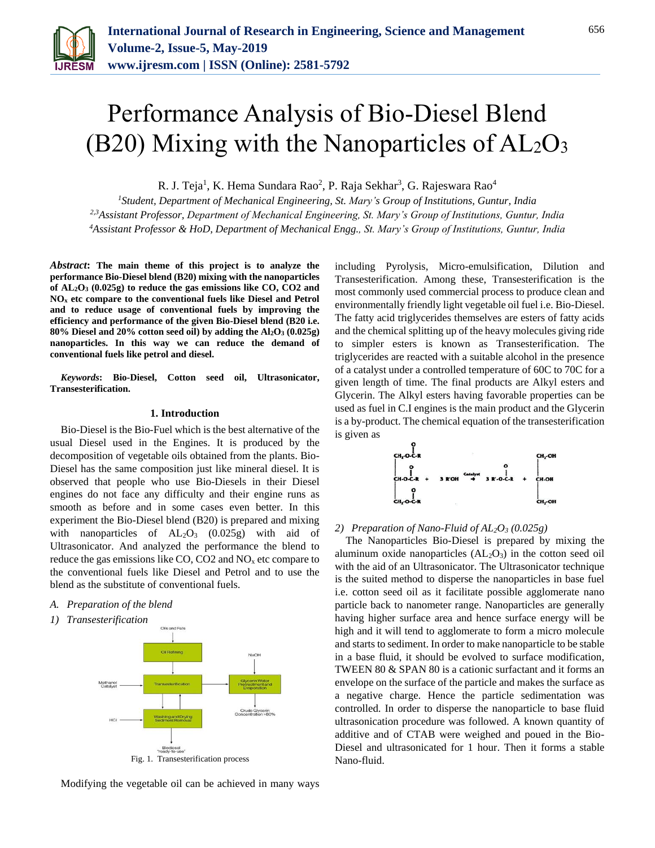

# Performance Analysis of Bio-Diesel Blend (B20) Mixing with the Nanoparticles of  $AL_2O_3$

R. J. Teja $^1$ , K. Hema Sundara Rao $^2$ , P. Raja Sekhar $^3$ , G. Rajeswara Rao $^4$ 

*<sup>1</sup>Student, Department of Mechanical Engineering, St. Mary's Group of Institutions, Guntur, India 2,3Assistant Professor, Department of Mechanical Engineering, St. Mary's Group of Institutions, Guntur, India <sup>4</sup>Assistant Professor & HoD, Department of Mechanical Engg., St. Mary's Group of Institutions, Guntur, India*

*Abstract***: The main theme of this project is to analyze the performance Bio-Diesel blend (B20) mixing with the nanoparticles of AL2O<sup>3</sup> (0.025g) to reduce the gas emissions like CO, CO2 and NO<sup>x</sup> etc compare to the conventional fuels like Diesel and Petrol and to reduce usage of conventional fuels by improving the efficiency and performance of the given Bio-Diesel blend (B20 i.e. 80% Diesel and 20% cotton seed oil) by adding the Al2O<sup>3</sup> (0.025g) nanoparticles. In this way we can reduce the demand of conventional fuels like petrol and diesel.**

*Keywords***: Bio-Diesel, Cotton seed oil, Ultrasonicator, Transesterification.**

#### **1. Introduction**

Bio-Diesel is the Bio-Fuel which is the best alternative of the usual Diesel used in the Engines. It is produced by the decomposition of vegetable oils obtained from the plants. Bio-Diesel has the same composition just like mineral diesel. It is observed that people who use Bio-Diesels in their Diesel engines do not face any difficulty and their engine runs as smooth as before and in some cases even better. In this experiment the Bio-Diesel blend (B20) is prepared and mixing with nanoparticles of  $AL_2O_3$  (0.025g) with aid of Ultrasonicator. And analyzed the performance the blend to reduce the gas emissions like CO, CO2 and  $NO<sub>x</sub>$  etc compare to the conventional fuels like Diesel and Petrol and to use the blend as the substitute of conventional fuels.

- *A. Preparation of the blend*
- *1) Transesterification*



Modifying the vegetable oil can be achieved in many ways

including Pyrolysis, Micro-emulsification, Dilution and Transesterification. Among these, Transesterification is the most commonly used commercial process to produce clean and environmentally friendly light vegetable oil fuel i.e. Bio-Diesel. The fatty acid triglycerides themselves are esters of fatty acids and the chemical splitting up of the heavy molecules giving ride to simpler esters is known as Transesterification. The triglycerides are reacted with a suitable alcohol in the presence of a catalyst under a controlled temperature of 60C to 70C for a given length of time. The final products are Alkyl esters and Glycerin. The Alkyl esters having favorable properties can be used as fuel in C.I engines is the main product and the Glycerin is a by-product. The chemical equation of the transesterification is given as



# *2) Preparation of Nano-Fluid of AL2O<sup>3</sup> (0.025g)*

The Nanoparticles Bio-Diesel is prepared by mixing the aluminum oxide nanoparticles  $(AL_2O_3)$  in the cotton seed oil with the aid of an Ultrasonicator. The Ultrasonicator technique is the suited method to disperse the nanoparticles in base fuel i.e. cotton seed oil as it facilitate possible agglomerate nano particle back to nanometer range. Nanoparticles are generally having higher surface area and hence surface energy will be high and it will tend to agglomerate to form a micro molecule and starts to sediment. In order to make nanoparticle to be stable in a base fluid, it should be evolved to surface modification, TWEEN 80 & SPAN 80 is a cationic surfactant and it forms an envelope on the surface of the particle and makes the surface as a negative charge. Hence the particle sedimentation was controlled. In order to disperse the nanoparticle to base fluid ultrasonication procedure was followed. A known quantity of additive and of CTAB were weighed and poued in the Bio-Diesel and ultrasonicated for 1 hour. Then it forms a stable Nano-fluid.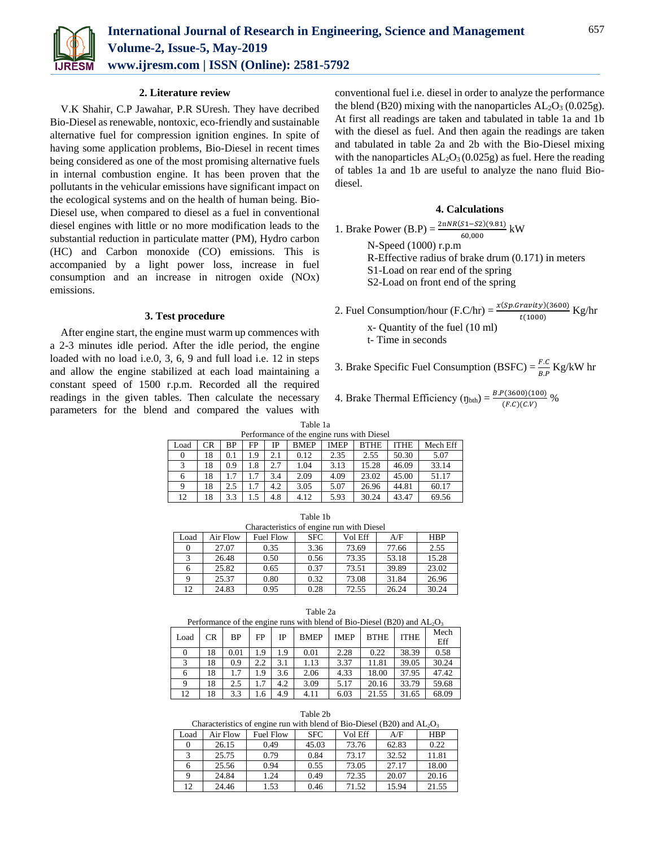

#### **2. Literature review**

V.K Shahir, C.P Jawahar, P.R SUresh. They have decribed Bio-Diesel as renewable, nontoxic, eco-friendly and sustainable alternative fuel for compression ignition engines. In spite of having some application problems, Bio-Diesel in recent times being considered as one of the most promising alternative fuels in internal combustion engine. It has been proven that the pollutants in the vehicular emissions have significant impact on the ecological systems and on the health of human being. Bio-Diesel use, when compared to diesel as a fuel in conventional diesel engines with little or no more modification leads to the substantial reduction in particulate matter (PM), Hydro carbon (HC) and Carbon monoxide (CO) emissions. This is accompanied by a light power loss, increase in fuel consumption and an increase in nitrogen oxide (NOx) emissions.

## **3. Test procedure**

After engine start, the engine must warm up commences with a 2-3 minutes idle period. After the idle period, the engine loaded with no load i.e.0, 3, 6, 9 and full load i.e. 12 in steps and allow the engine stabilized at each load maintaining a constant speed of 1500 r.p.m. Recorded all the required readings in the given tables. Then calculate the necessary parameters for the blend and compared the values with

conventional fuel i.e. diesel in order to analyze the performance the blend (B20) mixing with the nanoparticles  $AL_2O_3$  (0.025g). At first all readings are taken and tabulated in table 1a and 1b with the diesel as fuel. And then again the readings are taken and tabulated in table 2a and 2b with the Bio-Diesel mixing with the nanoparticles  $AL_2O_3(0.025g)$  as fuel. Here the reading of tables 1a and 1b are useful to analyze the nano fluid Biodiesel.

# **4. Calculations**

1. Brake Power (B.P) = 
$$
\frac{2\pi NR(51-52)(9.81)}{60,000}
$$
 kW  
\nN-Speed (1000) r.p.m  
\nR-Effective radius of brake drum (0.171) in meters  
\nS1-Load on rear end of the spring  
\nS2-Load on front end of the spring

2. Fuel Consumption/hour (F.C/hr) =  $\frac{x(Sp.Gravity)(3600)}{t(1000)}$  Kg/hr

x- Quantity of the fuel (10 ml)

t- Time in seconds

3. Brake Specific Fuel Consumption (BSFC) =  $\frac{F.C}{R}$  $\frac{F.C}{B.P}$  Kg/kW hr

4. Brake Thermal Efficiency  $(\eta_{\text{bth}}) = \frac{B.P(3600)(100)}{(F.C)(C.V)}$ %

| anie |  |
|------|--|
|------|--|

| Performance of the engine runs with Diesel                                               |    |     |     |     |      |      |       |       |          |
|------------------------------------------------------------------------------------------|----|-----|-----|-----|------|------|-------|-------|----------|
| <b>BMEP</b><br><b>IMEP</b><br><b>ITHE</b><br>CR<br>ВP<br>FP<br><b>BTHE</b><br>IΡ<br>Load |    |     |     |     |      |      |       |       | Mech Eff |
|                                                                                          | 18 | 0.1 | 1.9 | 2.1 | 0.12 | 2.35 | 2.55  | 50.30 | 5.07     |
| 3                                                                                        | 18 | 0.9 | 1.8 | 2.7 | 1.04 | 3.13 | 15.28 | 46.09 | 33.14    |
| 6                                                                                        | 18 |     |     | 3.4 | 2.09 | 4.09 | 23.02 | 45.00 | 51.17    |
| 9                                                                                        | 18 | 2.5 | 1.7 | 4.2 | 3.05 | 5.07 | 26.96 | 44.81 | 60.17    |
| 12                                                                                       | 18 | 3.3 | 1.5 | 4.8 | 4.12 | 5.93 | 30.24 | 43.47 | 69.56    |

| Characteristics of engine run with Diesel | Table 1b |  |
|-------------------------------------------|----------|--|
|                                           |          |  |

|      | Characteristics of chemic run with Dieser |                  |            |         |       |            |  |  |
|------|-------------------------------------------|------------------|------------|---------|-------|------------|--|--|
| Load | Air Flow                                  | <b>Fuel Flow</b> | <b>SFC</b> | Vol Eff | A/F   | <b>HBP</b> |  |  |
|      | 27.07                                     | 0.35             | 3.36       | 73.69   | 77.66 | 2.55       |  |  |
|      | 26.48                                     | 0.50             | 0.56       | 73.35   | 53.18 | 15.28      |  |  |
|      | 25.82                                     | 0.65             | 0.37       | 73.51   | 39.89 | 23.02      |  |  |
|      | 25.37                                     | 0.80             | 0.32       | 73.08   | 31.84 | 26.96      |  |  |
| 12   | 24.83                                     | 0.95             | 0.28       | 72.55   | 26.24 | 30.24      |  |  |

|          | Performance of the engine runs with blend of Bio-Diesel (B20) and $AL_2O_3$ |           |     |     |             |             |             |             |             |
|----------|-----------------------------------------------------------------------------|-----------|-----|-----|-------------|-------------|-------------|-------------|-------------|
| Load     | CR.                                                                         | <b>BP</b> | FP  | IP  | <b>BMEP</b> | <b>IMEP</b> | <b>BTHE</b> | <b>ITHE</b> | Mech<br>Eff |
| $\Omega$ | 18                                                                          | 0.01      | 1.9 | 1.9 | 0.01        | 2.28        | 0.22        | 38.39       | 0.58        |
| 3        | 18                                                                          | 0.9       | 2.2 | 3.1 | 1.13        | 3.37        | 11.81       | 39.05       | 30.24       |
| 6        | 18                                                                          | 1.7       | 1.9 | 3.6 | 2.06        | 4.33        | 18.00       | 37.95       | 47.42       |
| 9        | 18                                                                          | 2.5       | 1.7 | 4.2 | 3.09        | 5.17        | 20.16       | 33.79       | 59.68       |
| 12       | 18                                                                          | 3.3       | 1.6 | 4.9 | 4.11        | 6.03        | 21.55       | 31.65       | 68.09       |

Table 2a

| Table 2b |  |
|----------|--|
|----------|--|

Characteristics of engine run with blend of Bio-Diesel (B20) and  $AL_2O_3$ 

|      | enancembres of engine ran with stend of Bio Broser (B20) and TiD/O |                  |            |          |       |            |  |  |
|------|--------------------------------------------------------------------|------------------|------------|----------|-------|------------|--|--|
| Load | Air Flow                                                           | <b>Fuel Flow</b> | <b>SFC</b> | Vol Eff- | A/F   | <b>HBP</b> |  |  |
|      | 26.15                                                              | 0.49             | 45.03      | 73.76    | 62.83 | 0.22       |  |  |
|      | 25.75                                                              | 0.79             | 0.84       | 73.17    | 32.52 | 11.81      |  |  |
|      | 25.56                                                              | 0.94             | 0.55       | 73.05    | 27.17 | 18.00      |  |  |
|      | 24.84                                                              | 1.24             | 0.49       | 72.35    | 20.07 | 20.16      |  |  |
| 12   | 24.46                                                              | 1.53             | 0.46       | 71.52    | 15.94 | 21.55      |  |  |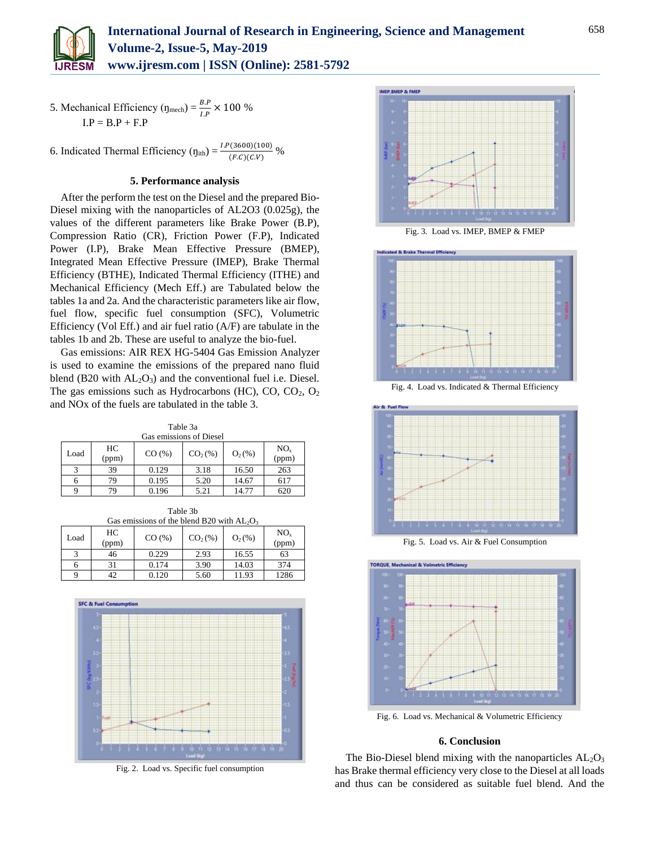

5. Mechanical Efficiency ( $\eta_{\text{mech}}$ ) =  $\frac{B.P}{I.P}$  × 100 %  $I.P = B.P + F.P$ 

6. Indicated Thermal Efficiency  $(\eta_{\text{ith}}) = \frac{LP(3600)(100)}{(F.C)(C.V)}$ %

## **5. Performance analysis**

After the perform the test on the Diesel and the prepared Bio-Diesel mixing with the nanoparticles of AL2O3 (0.025g), the values of the different parameters like Brake Power (B.P), Compression Ratio (CR), Friction Power (F.P), Indicated Power (I.P), Brake Mean Effective Pressure (BMEP), Integrated Mean Effective Pressure (IMEP), Brake Thermal Efficiency (BTHE), Indicated Thermal Efficiency (ITHE) and Mechanical Efficiency (Mech Eff.) are Tabulated below the tables 1a and 2a. And the characteristic parameters like air flow, fuel flow, specific fuel consumption (SFC), Volumetric Efficiency (Vol Eff.) and air fuel ratio (A/F) are tabulate in the tables 1b and 2b. These are useful to analyze the bio-fuel.

Gas emissions: AIR REX HG-5404 Gas Emission Analyzer is used to examine the emissions of the prepared nano fluid blend (B20 with  $AL_2O_3$ ) and the conventional fuel i.e. Diesel. The gas emissions such as Hydrocarbons (HC), CO,  $CO<sub>2</sub>$ ,  $O<sub>2</sub>$ and NOx of the fuels are tabulated in the table 3.

Table 3a Gas emissions of Diesel

|                         | <u>Gas chrissions of Dicsof</u> |       |           |           |                          |  |  |  |  |
|-------------------------|---------------------------------|-------|-----------|-----------|--------------------------|--|--|--|--|
| Load                    | HC<br>(ppm)                     | CO(%) | $CO2(\%)$ | $O_2(\%)$ | NO <sub>x</sub><br>(ppm) |  |  |  |  |
| $\mathbf{\overline{3}}$ | 39                              | 0.129 | 3.18      | 16.50     | 263                      |  |  |  |  |
| 6                       | 79.                             | 0.195 | 5.20      | 14.67     | 617                      |  |  |  |  |
| Q                       | 79                              | 0.196 | 5.21      | 14.77     | 620                      |  |  |  |  |

Table 3b

| Gas emissions of the blend B20 with $AL_2O_3$ |                          |       |      |       |      |  |  |  |
|-----------------------------------------------|--------------------------|-------|------|-------|------|--|--|--|
| Load                                          | NO <sub>x</sub><br>(ppm) |       |      |       |      |  |  |  |
|                                               | 46                       | 0.229 | 2.93 | 16.55 | 63   |  |  |  |
|                                               | 31                       | 0.174 | 3.90 | 14.03 | 374  |  |  |  |
|                                               | 42                       | 0.120 | 5.60 | 11.93 | 1286 |  |  |  |



Fig. 2. Load vs. Specific fuel consumption



Fig. 3. Load vs. IMEP, BMEP & FMEP



Fig. 4. Load vs. Indicated & Thermal Efficiency



Fig. 5. Load vs. Air & Fuel Consumption



Fig. 6. Load vs. Mechanical & Volumetric Efficiency

## **6. Conclusion**

The Bio-Diesel blend mixing with the nanoparticles  $AL_2O_3$ has Brake thermal efficiency very close to the Diesel at all loads and thus can be considered as suitable fuel blend. And the